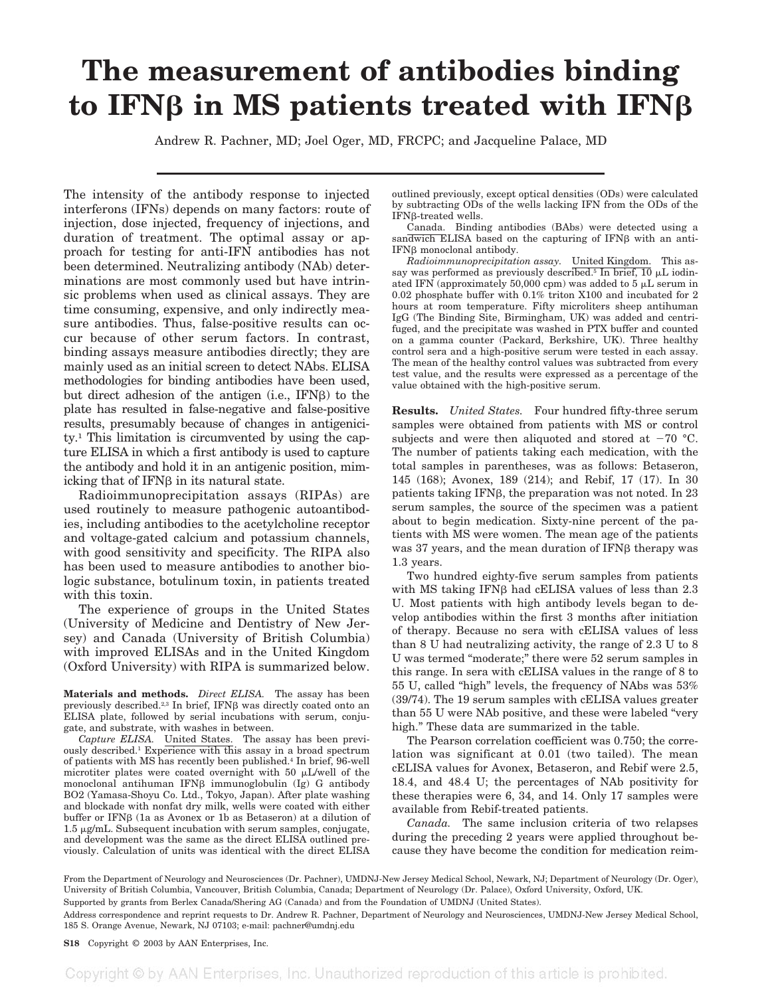## **The measurement of antibodies binding** to IFN<sub>B</sub> in MS patients treated with IFN<sub>B</sub>

Andrew R. Pachner, MD; Joel Oger, MD, FRCPC; and Jacqueline Palace, MD

The intensity of the antibody response to injected interferons (IFNs) depends on many factors: route of injection, dose injected, frequency of injections, and duration of treatment. The optimal assay or approach for testing for anti-IFN antibodies has not been determined. Neutralizing antibody (NAb) determinations are most commonly used but have intrinsic problems when used as clinical assays. They are time consuming, expensive, and only indirectly measure antibodies. Thus, false-positive results can occur because of other serum factors. In contrast, binding assays measure antibodies directly; they are mainly used as an initial screen to detect NAbs. ELISA methodologies for binding antibodies have been used, but direct adhesion of the antigen (i.e.,  $IFN\beta$ ) to the plate has resulted in false-negative and false-positive results, presumably because of changes in antigenicity.1 This limitation is circumvented by using the capture ELISA in which a first antibody is used to capture the antibody and hold it in an antigenic position, mimicking that of  $IFNB$  in its natural state.

Radioimmunoprecipitation assays (RIPAs) are used routinely to measure pathogenic autoantibodies, including antibodies to the acetylcholine receptor and voltage-gated calcium and potassium channels, with good sensitivity and specificity. The RIPA also has been used to measure antibodies to another biologic substance, botulinum toxin, in patients treated with this toxin.

The experience of groups in the United States (University of Medicine and Dentistry of New Jersey) and Canada (University of British Columbia) with improved ELISAs and in the United Kingdom (Oxford University) with RIPA is summarized below.

**Materials and methods.** *Direct ELISA.* The assay has been previously described.<sup>2,3</sup> In brief, IFN $\beta$  was directly coated onto an ELISA plate, followed by serial incubations with serum, conjugate, and substrate, with washes in between.

*Capture ELISA.* United States. The assay has been previously described.1 Experience with this assay in a broad spectrum of patients with MS has recently been published.4 In brief, 96-well microtiter plates were coated overnight with 50  $\mu$ L/well of the monoclonal antihuman IFN $\beta$  immunoglobulin (Ig) G antibody BO2 (Yamasa-Shoyu Co. Ltd., Tokyo, Japan). After plate washing and blockade with nonfat dry milk, wells were coated with either buffer or IFN $\beta$  (1a as Avonex or 1b as Betaseron) at a dilution of  $1.5 \mu$ g/mL. Subsequent incubation with serum samples, conjugate, and development was the same as the direct ELISA outlined previously. Calculation of units was identical with the direct ELISA

outlined previously, except optical densities (ODs) were calculated by subtracting ODs of the wells lacking IFN from the ODs of the IFN<sub>B</sub>-treated wells.

Canada. Binding antibodies (BAbs) were detected using a sandwich ELISA based on the capturing of  $IFNB$  with an anti- $IFN $\beta$  monoclonal antibody.$ 

*Radioimmunoprecipitation assay.* United Kingdom. This assay was performed as previously described.<sup>5</sup> In brief,  $10 \mu L$  iodinated IFN (approximately 50,000 cpm) was added to 5  $\mu$ L serum in  $0.02$  phosphate buffer with  $0.1\%$  triton X100 and incubated for  $2$ hours at room temperature. Fifty microliters sheep antihuman IgG (The Binding Site, Birmingham, UK) was added and centrifuged, and the precipitate was washed in PTX buffer and counted on a gamma counter (Packard, Berkshire, UK). Three healthy control sera and a high-positive serum were tested in each assay. The mean of the healthy control values was subtracted from every test value, and the results were expressed as a percentage of the value obtained with the high-positive serum.

**Results.** *United States.* Four hundred fifty-three serum samples were obtained from patients with MS or control subjects and were then aliquoted and stored at  $-70$  °C. The number of patients taking each medication, with the total samples in parentheses, was as follows: Betaseron, 145 (168); Avonex, 189 (214); and Rebif, 17 (17). In 30 patients taking IFN<sub>B</sub>, the preparation was not noted. In 23 serum samples, the source of the specimen was a patient about to begin medication. Sixty-nine percent of the patients with MS were women. The mean age of the patients was 37 years, and the mean duration of IFNB therapy was 1.3 years.

Two hundred eighty-five serum samples from patients with MS taking IFN $\beta$  had cELISA values of less than 2.3 U. Most patients with high antibody levels began to develop antibodies within the first 3 months after initiation of therapy. Because no sera with cELISA values of less than 8 U had neutralizing activity, the range of 2.3 U to 8 U was termed "moderate;" there were 52 serum samples in this range. In sera with cELISA values in the range of 8 to 55 U, called "high" levels, the frequency of NAbs was 53% (39/74). The 19 serum samples with cELISA values greater than 55 U were NAb positive, and these were labeled "very high." These data are summarized in the table.

The Pearson correlation coefficient was 0.750; the correlation was significant at 0.01 (two tailed). The mean cELISA values for Avonex, Betaseron, and Rebif were 2.5, 18.4, and 48.4 U; the percentages of NAb positivity for these therapies were 6, 34, and 14. Only 17 samples were available from Rebif-treated patients.

*Canada.* The same inclusion criteria of two relapses during the preceding 2 years were applied throughout because they have become the condition for medication reim-

From the Department of Neurology and Neurosciences (Dr. Pachner), UMDNJ-New Jersey Medical School, Newark, NJ; Department of Neurology (Dr. Oger), University of British Columbia, Vancouver, British Columbia, Canada; Department of Neurology (Dr. Palace), Oxford University, Oxford, UK.

Supported by grants from Berlex Canada/Shering AG (Canada) and from the Foundation of UMDNJ (United States).

Address correspondence and reprint requests to Dr. Andrew R. Pachner, Department of Neurology and Neurosciences, UMDNJ-New Jersey Medical School, 185 S. Orange Avenue, Newark, NJ 07103; e-mail: pachner@umdnj.edu

## **S18** Copyright © 2003 by AAN Enterprises, Inc.

Copyright © by AAN Enterprises, Inc. Unauthorized reproduction of this article is prohibited.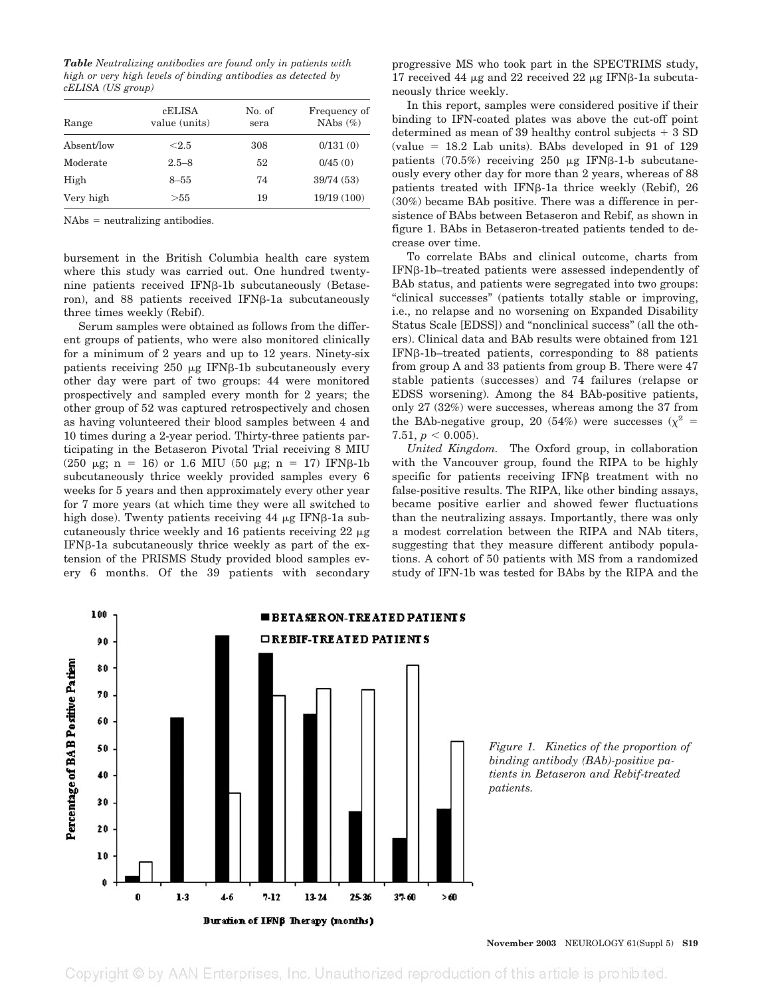*Table Neutralizing antibodies are found only in patients with high or very high levels of binding antibodies as detected by cELISA (US group)*

| Range      | cELISA<br>value (units) | No. of<br>sera | Frequency of<br>NAbs $(\%)$ |
|------------|-------------------------|----------------|-----------------------------|
| Absent/low | < 2.5                   | 308            | 0/131(0)                    |
| Moderate   | $2.5 - 8$               | 52             | 0/45(0)                     |
| High       | $8 - 55$                | 74             | 39/74 (53)                  |
| Very high  | > 55                    | 19             | 19/19(100)                  |

 $NAbs = neutralizing antibodies.$ 

bursement in the British Columbia health care system where this study was carried out. One hundred twentynine patients received IFNß-1b subcutaneously (Betaseron), and 88 patients received IFN<sub>B</sub>-1a subcutaneously three times weekly (Rebif).

Serum samples were obtained as follows from the different groups of patients, who were also monitored clinically for a minimum of 2 years and up to 12 years. Ninety-six patients receiving  $250 \mu g$  IFN $\beta$ -1b subcutaneously every other day were part of two groups: 44 were monitored prospectively and sampled every month for 2 years; the other group of 52 was captured retrospectively and chosen as having volunteered their blood samples between 4 and 10 times during a 2-year period. Thirty-three patients participating in the Betaseron Pivotal Trial receiving 8 MIU (250  $\mu$ g; n = 16) or 1.6 MIU (50  $\mu$ g; n = 17) IFNβ-1b subcutaneously thrice weekly provided samples every 6 weeks for 5 years and then approximately every other year for 7 more years (at which time they were all switched to high dose). Twenty patients receiving  $44 \mu g$  IFNβ-1a subcutaneously thrice weekly and 16 patients receiving  $22 \mu$ g  $IFN\beta-1a$  subcutaneously thrice weekly as part of the extension of the PRISMS Study provided blood samples every 6 months. Of the 39 patients with secondary

progressive MS who took part in the SPECTRIMS study, 17 received 44  $\mu$ g and 22 received 22  $\mu$ g IFN $\beta$ -1a subcutaneously thrice weekly.

In this report, samples were considered positive if their binding to IFN-coated plates was above the cut-off point determined as mean of 39 healthy control subjects  $+3$  SD  $\text{(value = } 18.2 \text{ Lab units)}$ . BAbs developed in 91 of 129 patients  $(70.5%)$  receiving 250  $\mu$ g IFNβ-1-b subcutaneously every other day for more than 2 years, whereas of 88 patients treated with IFN $\beta$ -1a thrice weekly (Rebif), 26 (30%) became BAb positive. There was a difference in persistence of BAbs between Betaseron and Rebif, as shown in figure 1. BAbs in Betaseron-treated patients tended to decrease over time.

To correlate BAbs and clinical outcome, charts from  $IFNB-1b$ -treated patients were assessed independently of BAb status, and patients were segregated into two groups: "clinical successes" (patients totally stable or improving, i.e., no relapse and no worsening on Expanded Disability Status Scale [EDSS]) and "nonclinical success" (all the others). Clinical data and BAb results were obtained from 121  $IFN\beta-1b$ -treated patients, corresponding to 88 patients from group A and 33 patients from group B. There were 47 stable patients (successes) and 74 failures (relapse or EDSS worsening). Among the 84 BAb-positive patients, only 27 (32%) were successes, whereas among the 37 from the BAb-negative group, 20 (54%) were successes ( $\chi^2$  = 7.51,  $p < 0.005$ ).

*United Kingdom.* The Oxford group, in collaboration with the Vancouver group, found the RIPA to be highly specific for patients receiving  $IFN\beta$  treatment with no false-positive results. The RIPA, like other binding assays, became positive earlier and showed fewer fluctuations than the neutralizing assays. Importantly, there was only a modest correlation between the RIPA and NAb titers, suggesting that they measure different antibody populations. A cohort of 50 patients with MS from a randomized study of IFN-1b was tested for BAbs by the RIPA and the